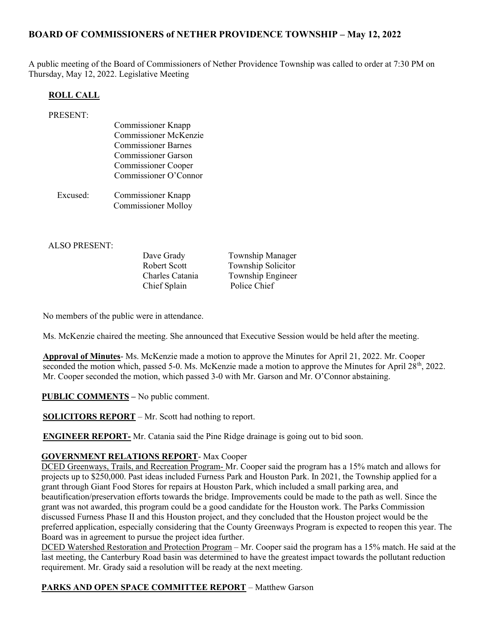# BOARD OF COMMISSIONERS of NETHER PROVIDENCE TOWNSHIP – May 12, 2022

A public meeting of the Board of Commissioners of Nether Providence Township was called to order at 7:30 PM on Thursday, May 12, 2022. Legislative Meeting

#### ROLL CALL

| PRESENT: |                              |
|----------|------------------------------|
|          | <b>Commissioner Knapp</b>    |
|          | <b>Commissioner McKenzie</b> |
|          | <b>Commissioner Barnes</b>   |
|          | <b>Commissioner Garson</b>   |
|          | <b>Commissioner Cooper</b>   |
|          | Commissioner O'Connor        |
|          |                              |
| Excused: | Commissioner Knapp           |
|          | <b>Commissioner Molloy</b>   |
|          |                              |

ALSO PRESENT:

Dave Grady Township Manager Chief Splain Police Chief

Robert Scott Township Solicitor Charles Catania Township Engineer

No members of the public were in attendance.

Ms. McKenzie chaired the meeting. She announced that Executive Session would be held after the meeting.

Approval of Minutes- Ms. McKenzie made a motion to approve the Minutes for April 21, 2022. Mr. Cooper seconded the motion which, passed 5-0. Ms. McKenzie made a motion to approve the Minutes for April 28<sup>th</sup>, 2022. Mr. Cooper seconded the motion, which passed 3-0 with Mr. Garson and Mr. O'Connor abstaining.

PUBLIC COMMENTS – No public comment.

SOLICITORS REPORT – Mr. Scott had nothing to report.

ENGINEER REPORT- Mr. Catania said the Pine Ridge drainage is going out to bid soon.

#### GOVERNMENT RELATIONS REPORT- Max Cooper

DCED Greenways, Trails, and Recreation Program- Mr. Cooper said the program has a 15% match and allows for projects up to \$250,000. Past ideas included Furness Park and Houston Park. In 2021, the Township applied for a grant through Giant Food Stores for repairs at Houston Park, which included a small parking area, and beautification/preservation efforts towards the bridge. Improvements could be made to the path as well. Since the grant was not awarded, this program could be a good candidate for the Houston work. The Parks Commission discussed Furness Phase II and this Houston project, and they concluded that the Houston project would be the preferred application, especially considering that the County Greenways Program is expected to reopen this year. The Board was in agreement to pursue the project idea further.

DCED Watershed Restoration and Protection Program – Mr. Cooper said the program has a 15% match. He said at the last meeting, the Canterbury Road basin was determined to have the greatest impact towards the pollutant reduction requirement. Mr. Grady said a resolution will be ready at the next meeting.

#### PARKS AND OPEN SPACE COMMITTEE REPORT – Matthew Garson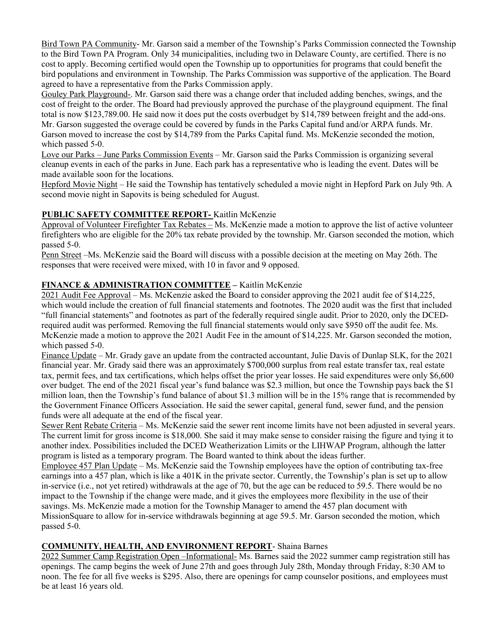Bird Town PA Community- Mr. Garson said a member of the Township's Parks Commission connected the Township to the Bird Town PA Program. Only 34 municipalities, including two in Delaware County, are certified. There is no cost to apply. Becoming certified would open the Township up to opportunities for programs that could benefit the bird populations and environment in Township. The Parks Commission was supportive of the application. The Board agreed to have a representative from the Parks Commission apply.

Gouley Park Playground-. Mr. Garson said there was a change order that included adding benches, swings, and the cost of freight to the order. The Board had previously approved the purchase of the playground equipment. The final total is now \$123,789.00. He said now it does put the costs overbudget by \$14,789 between freight and the add-ons. Mr. Garson suggested the overage could be covered by funds in the Parks Capital fund and/or ARPA funds. Mr. Garson moved to increase the cost by \$14,789 from the Parks Capital fund. Ms. McKenzie seconded the motion, which passed 5-0.

Love our Parks – June Parks Commission Events – Mr. Garson said the Parks Commission is organizing several cleanup events in each of the parks in June. Each park has a representative who is leading the event. Dates will be made available soon for the locations.

Hepford Movie Night – He said the Township has tentatively scheduled a movie night in Hepford Park on July 9th. A second movie night in Sapovits is being scheduled for August.

## PUBLIC SAFETY COMMITTEE REPORT- Kaitlin McKenzie

Approval of Volunteer Firefighter Tax Rebates – Ms. McKenzie made a motion to approve the list of active volunteer firefighters who are eligible for the 20% tax rebate provided by the township. Mr. Garson seconded the motion, which passed 5-0.

Penn Street –Ms. McKenzie said the Board will discuss with a possible decision at the meeting on May 26th. The responses that were received were mixed, with 10 in favor and 9 opposed.

## FINANCE & ADMINISTRATION COMMITTEE – Kaitlin McKenzie

2021 Audit Fee Approval – Ms. McKenzie asked the Board to consider approving the 2021 audit fee of \$14,225, which would include the creation of full financial statements and footnotes. The 2020 audit was the first that included "full financial statements" and footnotes as part of the federally required single audit. Prior to 2020, only the DCEDrequired audit was performed. Removing the full financial statements would only save \$950 off the audit fee. Ms. McKenzie made a motion to approve the 2021 Audit Fee in the amount of \$14,225. Mr. Garson seconded the motion, which passed 5-0.

Finance Update – Mr. Grady gave an update from the contracted accountant, Julie Davis of Dunlap SLK, for the 2021 financial year. Mr. Grady said there was an approximately \$700,000 surplus from real estate transfer tax, real estate tax, permit fees, and tax certifications, which helps offset the prior year losses. He said expenditures were only \$6,600 over budget. The end of the 2021 fiscal year's fund balance was \$2.3 million, but once the Township pays back the \$1 million loan, then the Township's fund balance of about \$1.3 million will be in the 15% range that is recommended by the Government Finance Officers Association. He said the sewer capital, general fund, sewer fund, and the pension funds were all adequate at the end of the fiscal year.

Sewer Rent Rebate Criteria – Ms. McKenzie said the sewer rent income limits have not been adjusted in several years. The current limit for gross income is \$18,000. She said it may make sense to consider raising the figure and tying it to another index. Possibilities included the DCED Weatherization Limits or the LIHWAP Program, although the latter program is listed as a temporary program. The Board wanted to think about the ideas further.

Employee 457 Plan Update – Ms. McKenzie said the Township employees have the option of contributing tax-free earnings into a 457 plan, which is like a 401K in the private sector. Currently, the Township's plan is set up to allow in-service (i.e., not yet retired) withdrawals at the age of 70, but the age can be reduced to 59.5. There would be no impact to the Township if the change were made, and it gives the employees more flexibility in the use of their savings. Ms. McKenzie made a motion for the Township Manager to amend the 457 plan document with MissionSquare to allow for in-service withdrawals beginning at age 59.5. Mr. Garson seconded the motion, which passed 5-0.

#### COMMUNITY, HEALTH, AND ENVIRONMENT REPORT- Shaina Barnes

2022 Summer Camp Registration Open –Informational- Ms. Barnes said the 2022 summer camp registration still has openings. The camp begins the week of June 27th and goes through July 28th, Monday through Friday, 8:30 AM to noon. The fee for all five weeks is \$295. Also, there are openings for camp counselor positions, and employees must be at least 16 years old.